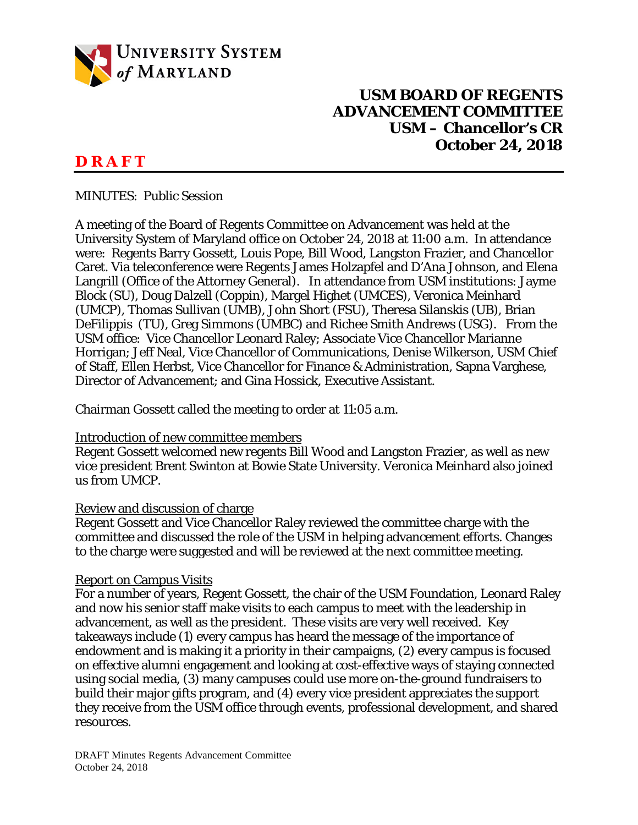

# **USM BOARD OF REGENTS ADVANCEMENT COMMITTEE USM – Chancellor's CR October 24, 2018**

# **D R A F T**

MINUTES: Public Session

A meeting of the Board of Regents Committee on Advancement was held at the University System of Maryland office on October 24, 2018 at 11:00 a.m. In attendance were: Regents Barry Gossett, Louis Pope, Bill Wood, Langston Frazier, and Chancellor Caret. Via teleconference were Regents James Holzapfel and D'Ana Johnson, and Elena Langrill (Office of the Attorney General). In attendance from USM institutions: Jayme Block (SU), Doug Dalzell (Coppin), Margel Highet (UMCES), Veronica Meinhard (UMCP), Thomas Sullivan (UMB), John Short (FSU), Theresa Silanskis (UB), Brian DeFilippis (TU), Greg Simmons (UMBC) and Richee Smith Andrews (USG). From the USM office: Vice Chancellor Leonard Raley; Associate Vice Chancellor Marianne Horrigan; Jeff Neal, Vice Chancellor of Communications, Denise Wilkerson, USM Chief of Staff, Ellen Herbst, Vice Chancellor for Finance & Administration, Sapna Varghese, Director of Advancement; and Gina Hossick, Executive Assistant.

Chairman Gossett called the meeting to order at 11:05 a.m.

#### Introduction of new committee members

Regent Gossett welcomed new regents Bill Wood and Langston Frazier, as well as new vice president Brent Swinton at Bowie State University. Veronica Meinhard also joined us from UMCP.

## Review and discussion of charge

Regent Gossett and Vice Chancellor Raley reviewed the committee charge with the committee and discussed the role of the USM in helping advancement efforts. Changes to the charge were suggested and will be reviewed at the next committee meeting.

#### Report on Campus Visits

For a number of years, Regent Gossett, the chair of the USM Foundation, Leonard Raley and now his senior staff make visits to each campus to meet with the leadership in advancement, as well as the president. These visits are very well received. Key takeaways include (1) every campus has heard the message of the importance of endowment and is making it a priority in their campaigns, (2) every campus is focused on effective alumni engagement and looking at cost-effective ways of staying connected using social media, (3) many campuses could use more on-the-ground fundraisers to build their major gifts program, and (4) every vice president appreciates the support they receive from the USM office through events, professional development, and shared resources.